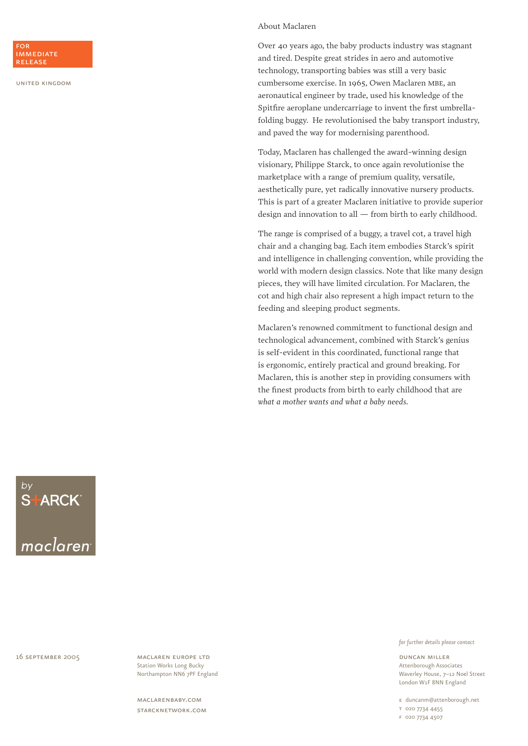### About Maclaren

Over 40 years ago, the baby products industry was stagnant and tired. Despite great strides in aero and automotive technology, transporting babies was still a very basic cumbersome exercise. In 1965, Owen Maclaren mbe, an aeronautical engineer by trade, used his knowledge of the Spitfire aeroplane undercarriage to invent the first umbrellafolding buggy. He revolutionised the baby transport industry, and paved the way for modernising parenthood.

Today, Maclaren has challenged the award-winning design visionary, Philippe Starck, to once again revolutionise the marketplace with a range of premium quality, versatile, aesthetically pure, yet radically innovative nursery products. This is part of a greater Maclaren initiative to provide superior design and innovation to all — from birth to early childhood.

The range is comprised of a buggy, a travel cot, a travel high chair and a changing bag. Each item embodies Starck's spirit and intelligence in challenging convention, while providing the world with modern design classics. Note that like many design pieces, they will have limited circulation. For Maclaren, the cot and high chair also represent a high impact return to the feeding and sleeping product segments.

Maclaren's renowned commitment to functional design and technological advancement, combined with Starck's genius is self-evident in this coordinated, functional range that is ergonomic, entirely practical and ground breaking. For Maclaren, this is another step in providing consumers with the finest products from birth to early childhood that are *what a mother wants and what a baby needs.* 

S<sup>T</sup>ARCK

16 september 2005

maclaren europe ltd Station Works Long Bucky Northampton NN6 7PF England

maclarenbaby.com starcknetwork.com

#### *for further details please contact*

duncan miller Attenborough Associates Waverley House, 7–12 Noel Street London W1F 8NN England

e duncanm@attenborough.net

t 020 7734 4455

f 020 7734 4507



#### for immediate release

united kingdom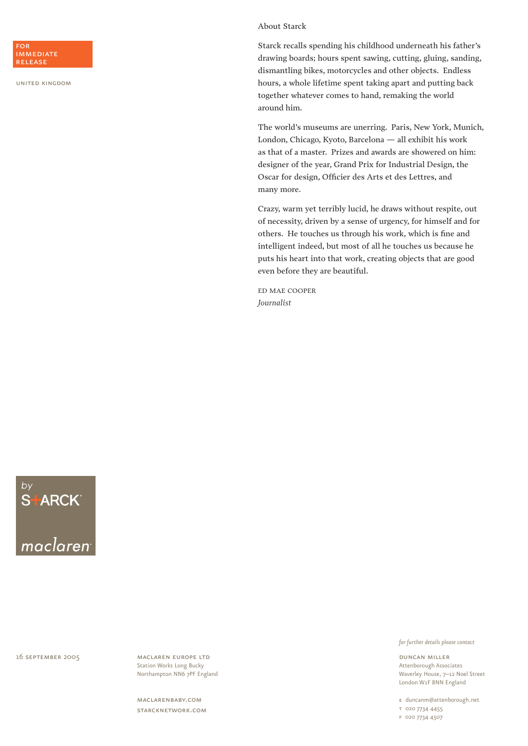## About Starck

Starck recalls spending his childhood underneath his father's drawing boards; hours spent sawing, cutting, gluing, sanding, dismantling bikes, motorcycles and other objects. Endless hours, a whole lifetime spent taking apart and putting back together whatever comes to hand, remaking the world around him.

The world's museums are unerring. Paris, New York, Munich, London, Chicago, Kyoto, Barcelona — all exhibit his work as that of a master. Prizes and awards are showered on him: designer of the year, Grand Prix for Industrial Design, the Oscar for design, Officier des Arts et des Lettres, and many more.

Crazy, warm yet terribly lucid, he draws without respite, out of necessity, driven by a sense of urgency, for himself and for others. He touches us through his work, which is fine and intelligent indeed, but most of all he touches us because he puts his heart into that work, creating objects that are good even before they are beautiful.

ed mae cooper *Journalist*

 $S+$ ARCK $\overline{S}$ 

16 september 2005

maclaren europe ltd Station Works Long Bucky Northampton NN6 7PF England

maclarenbaby.com starcknetwork.com *for further details please contact*

duncan miller Attenborough Associates Waverley House, 7–12 Noel Street London W1F 8NN England

e duncanm@attenborough.net

t 020 7734 4455

f 020 7734 4507



united kingdom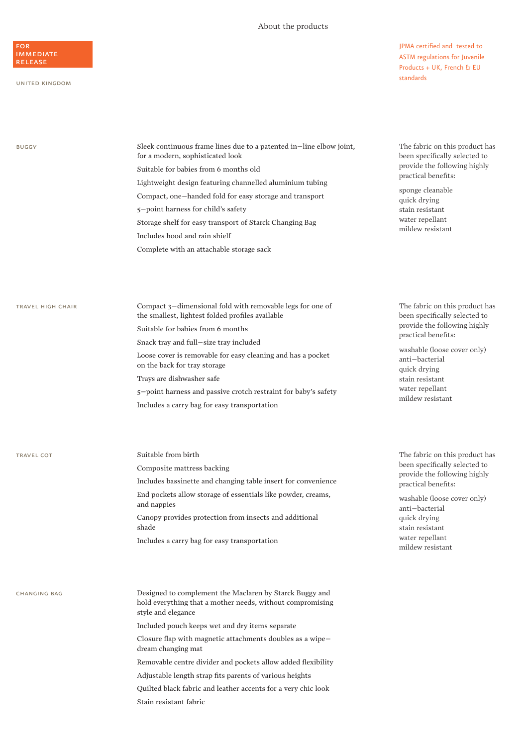### About the products

for **IMMEDIATE** release

#### united kingdom

JPMA certified and tested to ASTM regulations for Juvenile Products + UK, French & EU standards

| <b>BUGGY</b>      | Sleek continuous frame lines due to a patented in-line elbow joint,<br>for a modern, sophisticated look                                                                                                                                                                                                                                                                                                                                    | The fabric on this product has<br>been specifically selected to                                                                                                                                                                                   |
|-------------------|--------------------------------------------------------------------------------------------------------------------------------------------------------------------------------------------------------------------------------------------------------------------------------------------------------------------------------------------------------------------------------------------------------------------------------------------|---------------------------------------------------------------------------------------------------------------------------------------------------------------------------------------------------------------------------------------------------|
|                   | Suitable for babies from 6 months old                                                                                                                                                                                                                                                                                                                                                                                                      | provide the following highly                                                                                                                                                                                                                      |
|                   | Lightweight design featuring channelled aluminium tubing<br>Compact, one-handed fold for easy storage and transport<br>5-point harness for child's safety<br>Storage shelf for easy transport of Starck Changing Bag<br>Includes hood and rain shielf<br>Complete with an attachable storage sack                                                                                                                                          | practical benefits:<br>sponge cleanable<br>quick drying<br>stain resistant<br>water repellant<br>mildew resistant                                                                                                                                 |
| TRAVEL HIGH CHAIR | Compact 3-dimensional fold with removable legs for one of<br>the smallest, lightest folded profiles available<br>Suitable for babies from 6 months<br>Snack tray and full-size tray included<br>Loose cover is removable for easy cleaning and has a pocket<br>on the back for tray storage<br>Trays are dishwasher safe<br>5-point harness and passive crotch restraint for baby's safety<br>Includes a carry bag for easy transportation | The fabric on this product has<br>been specifically selected to<br>provide the following highly<br>practical benefits:<br>washable (loose cover only)<br>anti-bacterial<br>quick drying<br>stain resistant<br>water repellant<br>mildew resistant |
|                   |                                                                                                                                                                                                                                                                                                                                                                                                                                            |                                                                                                                                                                                                                                                   |

TRAVEL COT Suitable from birth Composite mattress backing Includes bassinette and changing table insert for convenience End pockets allow storage of essentials like powder, creams, and nappies Canopy provides protection from insects and additional shade Includes a carry bag for easy transportation

changing bag Designed to complement the Maclaren by Starck Buggy and hold everything that a mother needs, without compromising style and elegance Included pouch keeps wet and dry items separate Closure flap with magnetic attachments doubles as a wipe– dream changing mat Removable centre divider and pockets allow added flexibility

Adjustable length strap fits parents of various heights

Quilted black fabric and leather accents for a very chic look Stain resistant fabric

The fabric on this product has been specifically selected to provide the following highly practical benefits:

washable (loose cover only) anti–bacterial quick drying stain resistant water repellant mildew resistant